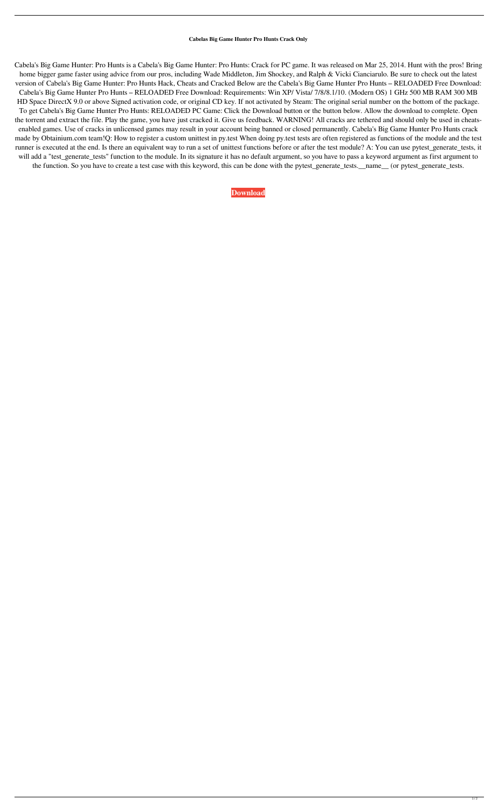## **Cabelas Big Game Hunter Pro Hunts Crack Only**

Cabela's Big Game Hunter: Pro Hunts is a Cabela's Big Game Hunter: Pro Hunts: Crack for PC game. It was released on Mar 25, 2014. Hunt with the pros! Bring home bigger game faster using advice from our pros, including Wade Middleton, Jim Shockey, and Ralph & Vicki Cianciarulo. Be sure to check out the latest version of Cabela's Big Game Hunter: Pro Hunts Hack, Cheats and Cracked Below are the Cabela's Big Game Hunter Pro Hunts – RELOADED Free Download: Cabela's Big Game Hunter Pro Hunts – RELOADED Free Download: Requirements: Win XP/ Vista/ 7/8/8.1/10. (Modern OS) 1 GHz 500 MB RAM 300 MB HD Space DirectX 9.0 or above Signed activation code, or original CD key. If not activated by Steam: The original serial number on the bottom of the package. To get Cabela's Big Game Hunter Pro Hunts: RELOADED PC Game: Click the Download button or the button below. Allow the download to complete. Open the torrent and extract the file. Play the game, you have just cracked it. Give us feedback. WARNING! All cracks are tethered and should only be used in cheatsenabled games. Use of cracks in unlicensed games may result in your account being banned or closed permanently. Cabela's Big Game Hunter Pro Hunts crack made by Obtainium.com team!Q: How to register a custom unittest in py.test When doing py.test tests are often registered as functions of the module and the test runner is executed at the end. Is there an equivalent way to run a set of unittest functions before or after the test module? A: You can use pytest\_generate\_tests, it will add a "test\_generate\_tests" function to the module. In its signature it has no default argument, so you have to pass a keyword argument as first argument to the function. So you have to create a test case with this keyword, this can be done with the pytest\_generate\_tests.\_\_name\_\_ (or pytest\_generate\_tests.

## **[Download](http://evacdir.com/clearingtheairscotland.dilectus/herbalist?mike=Y2FiZWxhcyBiaWcgZ2FtZSBodW50ZXIgcHJvIGh1bnRzIGNyYWNrIG9ubHkY2F.polyvinyl&partum=ZG93bmxvYWR8eUY1TW5Ob09IeDhNVFkxTWpjME1EZzJObng4TWpVM05IeDhLRTBwSUhKbFlXUXRZbXh2WnlCYlJtRnpkQ0JIUlU1ZA)**